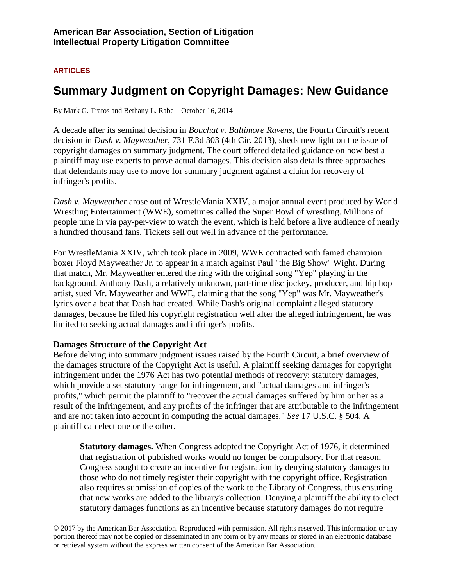## **ARTICLES**

# **Summary Judgment on Copyright Damages: New Guidance**

By Mark G. Tratos and Bethany L. Rabe – October 16, 2014

A decade after its seminal decision in *Bouchat v. Baltimore Ravens*, the Fourth Circuit's recent decision in *Dash v. Mayweather*, 731 F.3d 303 (4th Cir. 2013), sheds new light on the issue of copyright damages on summary judgment. The court offered detailed guidance on how best a plaintiff may use experts to prove actual damages. This decision also details three approaches that defendants may use to move for summary judgment against a claim for recovery of infringer's profits.

*Dash v. Mayweather* arose out of WrestleMania XXIV, a major annual event produced by World Wrestling Entertainment (WWE), sometimes called the Super Bowl of wrestling. Millions of people tune in via pay-per-view to watch the event, which is held before a live audience of nearly a hundred thousand fans. Tickets sell out well in advance of the performance.

For WrestleMania XXIV, which took place in 2009, WWE contracted with famed champion boxer Floyd Mayweather Jr. to appear in a match against Paul "the Big Show" Wight. During that match, Mr. Mayweather entered the ring with the original song "Yep" playing in the background. Anthony Dash, a relatively unknown, part-time disc jockey, producer, and hip hop artist, sued Mr. Mayweather and WWE, claiming that the song "Yep" was Mr. Mayweather's lyrics over a beat that Dash had created. While Dash's original complaint alleged statutory damages, because he filed his copyright registration well after the alleged infringement, he was limited to seeking actual damages and infringer's profits.

### **Damages Structure of the Copyright Act**

Before delving into summary judgment issues raised by the Fourth Circuit, a brief overview of the damages structure of the Copyright Act is useful. A plaintiff seeking damages for copyright infringement under the 1976 Act has two potential methods of recovery: statutory damages, which provide a set statutory range for infringement, and "actual damages and infringer's profits," which permit the plaintiff to "recover the actual damages suffered by him or her as a result of the infringement, and any profits of the infringer that are attributable to the infringement and are not taken into account in computing the actual damages." *See* 17 U.S.C. § 504. A plaintiff can elect one or the other.

**Statutory damages.** When Congress adopted the Copyright Act of 1976, it determined that registration of published works would no longer be compulsory. For that reason, Congress sought to create an incentive for registration by denying statutory damages to those who do not timely register their copyright with the copyright office. Registration also requires submission of copies of the work to the Library of Congress, thus ensuring that new works are added to the library's collection. Denying a plaintiff the ability to elect statutory damages functions as an incentive because statutory damages do not require

© 2017 by the American Bar Association. Reproduced with permission. All rights reserved. This information or any portion thereof may not be copied or disseminated in any form or by any means or stored in an electronic database or retrieval system without the express written consent of the American Bar Association.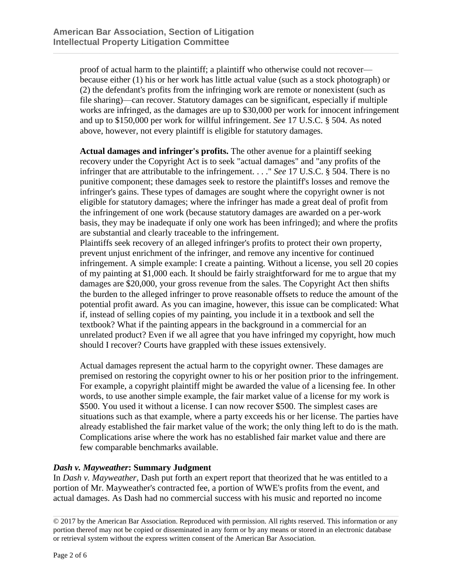proof of actual harm to the plaintiff; a plaintiff who otherwise could not recover because either (1) his or her work has little actual value (such as a stock photograph) or (2) the defendant's profits from the infringing work are remote or nonexistent (such as file sharing)—can recover. Statutory damages can be significant, especially if multiple works are infringed, as the damages are up to \$30,000 per work for innocent infringement and up to \$150,000 per work for willful infringement. *See* 17 U.S.C. § 504. As noted above, however, not every plaintiff is eligible for statutory damages.

**Actual damages and infringer's profits.** The other avenue for a plaintiff seeking recovery under the Copyright Act is to seek "actual damages" and "any profits of the infringer that are attributable to the infringement. . . ." *See* 17 U.S.C. § 504. There is no punitive component; these damages seek to restore the plaintiff's losses and remove the infringer's gains. These types of damages are sought where the copyright owner is not eligible for statutory damages; where the infringer has made a great deal of profit from the infringement of one work (because statutory damages are awarded on a per-work basis, they may be inadequate if only one work has been infringed); and where the profits are substantial and clearly traceable to the infringement.

Plaintiffs seek recovery of an alleged infringer's profits to protect their own property, prevent unjust enrichment of the infringer, and remove any incentive for continued infringement. A simple example: I create a painting. Without a license, you sell 20 copies of my painting at \$1,000 each. It should be fairly straightforward for me to argue that my damages are \$20,000, your gross revenue from the sales. The Copyright Act then shifts the burden to the alleged infringer to prove reasonable offsets to reduce the amount of the potential profit award. As you can imagine, however, this issue can be complicated: What if, instead of selling copies of my painting, you include it in a textbook and sell the textbook? What if the painting appears in the background in a commercial for an unrelated product? Even if we all agree that you have infringed my copyright, how much should I recover? Courts have grappled with these issues extensively.

Actual damages represent the actual harm to the copyright owner. These damages are premised on restoring the copyright owner to his or her position prior to the infringement. For example, a copyright plaintiff might be awarded the value of a licensing fee. In other words, to use another simple example, the fair market value of a license for my work is \$500. You used it without a license. I can now recover \$500. The simplest cases are situations such as that example, where a party exceeds his or her license. The parties have already established the fair market value of the work; the only thing left to do is the math. Complications arise where the work has no established fair market value and there are few comparable benchmarks available.

## *Dash v. Mayweather***: Summary Judgment**

In *Dash v. Mayweather*, Dash put forth an expert report that theorized that he was entitled to a portion of Mr. Mayweather's contracted fee, a portion of WWE's profits from the event, and actual damages. As Dash had no commercial success with his music and reported no income

<sup>© 2017</sup> by the American Bar Association. Reproduced with permission. All rights reserved. This information or any portion thereof may not be copied or disseminated in any form or by any means or stored in an electronic database or retrieval system without the express written consent of the American Bar Association.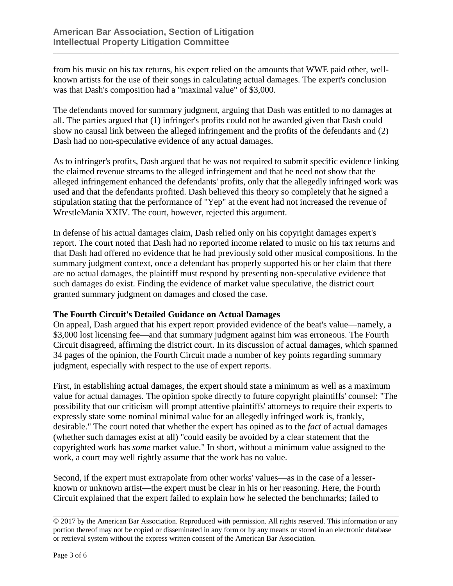from his music on his tax returns, his expert relied on the amounts that WWE paid other, wellknown artists for the use of their songs in calculating actual damages. The expert's conclusion was that Dash's composition had a "maximal value" of \$3,000.

The defendants moved for summary judgment, arguing that Dash was entitled to no damages at all. The parties argued that (1) infringer's profits could not be awarded given that Dash could show no causal link between the alleged infringement and the profits of the defendants and (2) Dash had no non-speculative evidence of any actual damages.

As to infringer's profits, Dash argued that he was not required to submit specific evidence linking the claimed revenue streams to the alleged infringement and that he need not show that the alleged infringement enhanced the defendants' profits, only that the allegedly infringed work was used and that the defendants profited. Dash believed this theory so completely that he signed a stipulation stating that the performance of "Yep" at the event had not increased the revenue of WrestleMania XXIV. The court, however, rejected this argument.

In defense of his actual damages claim, Dash relied only on his copyright damages expert's report. The court noted that Dash had no reported income related to music on his tax returns and that Dash had offered no evidence that he had previously sold other musical compositions. In the summary judgment context, once a defendant has properly supported his or her claim that there are no actual damages, the plaintiff must respond by presenting non-speculative evidence that such damages do exist. Finding the evidence of market value speculative, the district court granted summary judgment on damages and closed the case.

### **The Fourth Circuit's Detailed Guidance on Actual Damages**

On appeal, Dash argued that his expert report provided evidence of the beat's value—namely, a \$3,000 lost licensing fee—and that summary judgment against him was erroneous. The Fourth Circuit disagreed, affirming the district court. In its discussion of actual damages, which spanned 34 pages of the opinion, the Fourth Circuit made a number of key points regarding summary judgment, especially with respect to the use of expert reports.

First, in establishing actual damages, the expert should state a minimum as well as a maximum value for actual damages. The opinion spoke directly to future copyright plaintiffs' counsel: "The possibility that our criticism will prompt attentive plaintiffs' attorneys to require their experts to expressly state some nominal minimal value for an allegedly infringed work is, frankly, desirable." The court noted that whether the expert has opined as to the *fact* of actual damages (whether such damages exist at all) "could easily be avoided by a clear statement that the copyrighted work has *some* market value." In short, without a minimum value assigned to the work, a court may well rightly assume that the work has no value.

Second, if the expert must extrapolate from other works' values—as in the case of a lesserknown or unknown artist—the expert must be clear in his or her reasoning. Here, the Fourth Circuit explained that the expert failed to explain how he selected the benchmarks; failed to

<sup>© 2017</sup> by the American Bar Association. Reproduced with permission. All rights reserved. This information or any portion thereof may not be copied or disseminated in any form or by any means or stored in an electronic database or retrieval system without the express written consent of the American Bar Association.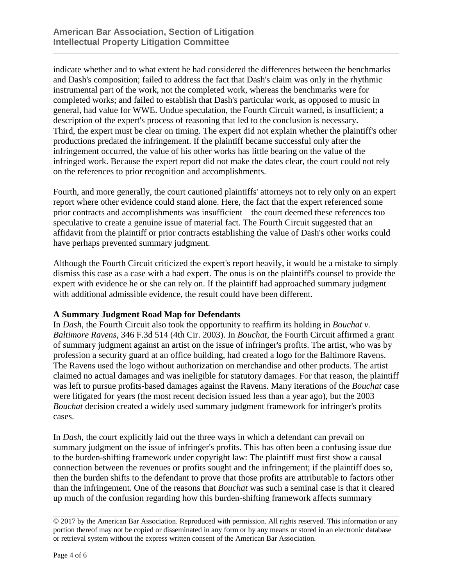indicate whether and to what extent he had considered the differences between the benchmarks and Dash's composition; failed to address the fact that Dash's claim was only in the rhythmic instrumental part of the work, not the completed work, whereas the benchmarks were for completed works; and failed to establish that Dash's particular work, as opposed to music in general, had value for WWE. Undue speculation, the Fourth Circuit warned, is insufficient; a description of the expert's process of reasoning that led to the conclusion is necessary. Third, the expert must be clear on timing. The expert did not explain whether the plaintiff's other productions predated the infringement. If the plaintiff became successful only after the infringement occurred, the value of his other works has little bearing on the value of the infringed work. Because the expert report did not make the dates clear, the court could not rely on the references to prior recognition and accomplishments.

Fourth, and more generally, the court cautioned plaintiffs' attorneys not to rely only on an expert report where other evidence could stand alone. Here, the fact that the expert referenced some prior contracts and accomplishments was insufficient—the court deemed these references too speculative to create a genuine issue of material fact. The Fourth Circuit suggested that an affidavit from the plaintiff or prior contracts establishing the value of Dash's other works could have perhaps prevented summary judgment.

Although the Fourth Circuit criticized the expert's report heavily, it would be a mistake to simply dismiss this case as a case with a bad expert. The onus is on the plaintiff's counsel to provide the expert with evidence he or she can rely on. If the plaintiff had approached summary judgment with additional admissible evidence, the result could have been different.

### **A Summary Judgment Road Map for Defendants**

In *Dash*, the Fourth Circuit also took the opportunity to reaffirm its holding in *Bouchat v. Baltimore Ravens*, 346 F.3d 514 (4th Cir. 2003). In *Bouchat*, the Fourth Circuit affirmed a grant of summary judgment against an artist on the issue of infringer's profits. The artist, who was by profession a security guard at an office building, had created a logo for the Baltimore Ravens. The Ravens used the logo without authorization on merchandise and other products. The artist claimed no actual damages and was ineligible for statutory damages. For that reason, the plaintiff was left to pursue profits-based damages against the Ravens. Many iterations of the *Bouchat* case were litigated for years (the most recent decision issued less than a year ago), but the 2003 *Bouchat* decision created a widely used summary judgment framework for infringer's profits cases.

In *Dash*, the court explicitly laid out the three ways in which a defendant can prevail on summary judgment on the issue of infringer's profits. This has often been a confusing issue due to the burden-shifting framework under copyright law: The plaintiff must first show a causal connection between the revenues or profits sought and the infringement; if the plaintiff does so, then the burden shifts to the defendant to prove that those profits are attributable to factors other than the infringement. One of the reasons that *Bouchat* was such a seminal case is that it cleared up much of the confusion regarding how this burden-shifting framework affects summary

<sup>© 2017</sup> by the American Bar Association. Reproduced with permission. All rights reserved. This information or any portion thereof may not be copied or disseminated in any form or by any means or stored in an electronic database or retrieval system without the express written consent of the American Bar Association.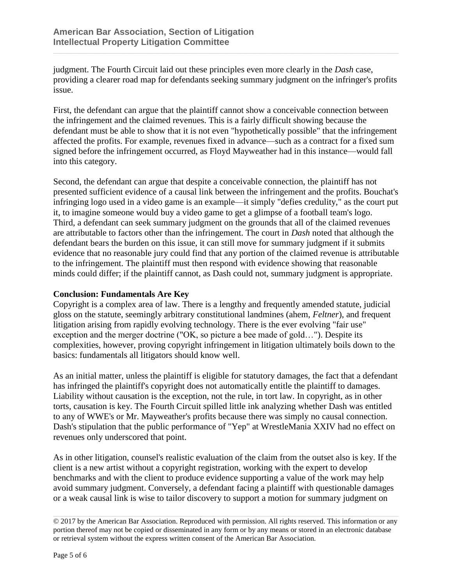judgment. The Fourth Circuit laid out these principles even more clearly in the *Dash* case, providing a clearer road map for defendants seeking summary judgment on the infringer's profits issue.

First, the defendant can argue that the plaintiff cannot show a conceivable connection between the infringement and the claimed revenues. This is a fairly difficult showing because the defendant must be able to show that it is not even "hypothetically possible" that the infringement affected the profits. For example, revenues fixed in advance—such as a contract for a fixed sum signed before the infringement occurred, as Floyd Mayweather had in this instance—would fall into this category.

Second, the defendant can argue that despite a conceivable connection, the plaintiff has not presented sufficient evidence of a causal link between the infringement and the profits. Bouchat's infringing logo used in a video game is an example—it simply "defies credulity," as the court put it, to imagine someone would buy a video game to get a glimpse of a football team's logo. Third, a defendant can seek summary judgment on the grounds that all of the claimed revenues are attributable to factors other than the infringement. The court in *Dash* noted that although the defendant bears the burden on this issue, it can still move for summary judgment if it submits evidence that no reasonable jury could find that any portion of the claimed revenue is attributable to the infringement. The plaintiff must then respond with evidence showing that reasonable minds could differ; if the plaintiff cannot, as Dash could not, summary judgment is appropriate.

## **Conclusion: Fundamentals Are Key**

Copyright is a complex area of law. There is a lengthy and frequently amended statute, judicial gloss on the statute, seemingly arbitrary constitutional landmines (ahem, *Feltner*), and frequent litigation arising from rapidly evolving technology. There is the ever evolving "fair use" exception and the merger doctrine ("OK, so picture a bee made of gold…"). Despite its complexities, however, proving copyright infringement in litigation ultimately boils down to the basics: fundamentals all litigators should know well.

As an initial matter, unless the plaintiff is eligible for statutory damages, the fact that a defendant has infringed the plaintiff's copyright does not automatically entitle the plaintiff to damages. Liability without causation is the exception, not the rule, in tort law. In copyright, as in other torts, causation is key. The Fourth Circuit spilled little ink analyzing whether Dash was entitled to any of WWE's or Mr. Mayweather's profits because there was simply no causal connection. Dash's stipulation that the public performance of "Yep" at WrestleMania XXIV had no effect on revenues only underscored that point.

As in other litigation, counsel's realistic evaluation of the claim from the outset also is key. If the client is a new artist without a copyright registration, working with the expert to develop benchmarks and with the client to produce evidence supporting a value of the work may help avoid summary judgment. Conversely, a defendant facing a plaintiff with questionable damages or a weak causal link is wise to tailor discovery to support a motion for summary judgment on

<sup>© 2017</sup> by the American Bar Association. Reproduced with permission. All rights reserved. This information or any portion thereof may not be copied or disseminated in any form or by any means or stored in an electronic database or retrieval system without the express written consent of the American Bar Association.